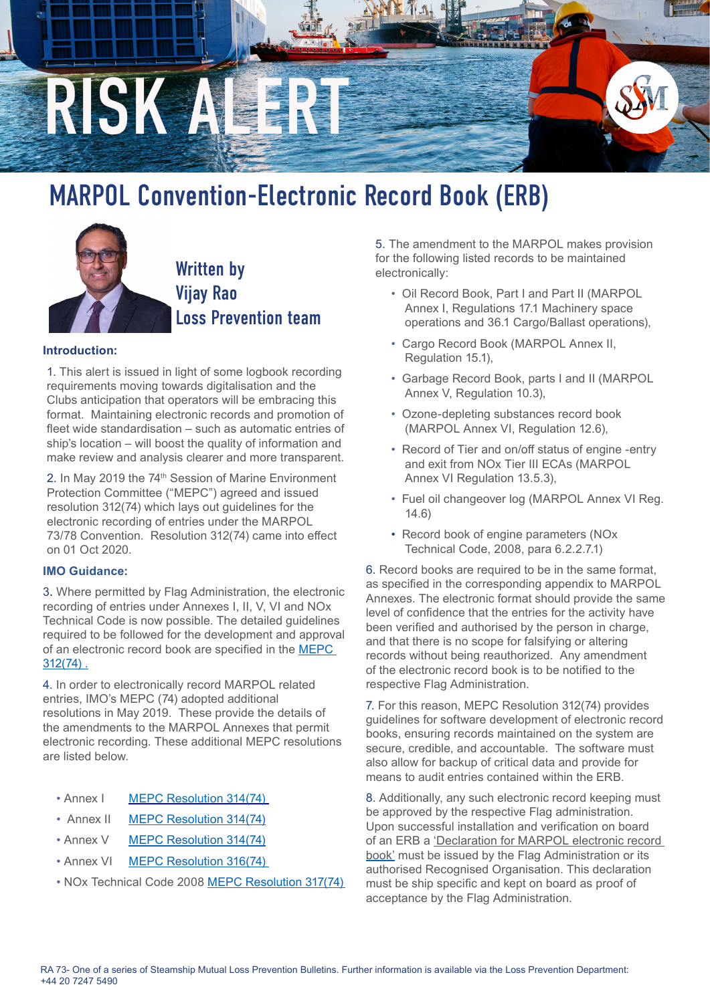

## MARPOL Convention-Electronic Record Book (ERB)



## **Introduction:**

1. This alert is issued in light of some logbook recording requirements moving towards digitalisation and the Clubs anticipation that operators will be embracing this format. Maintaining electronic records and promotion of fleet wide standardisation – such as automatic entries of ship's location – will boost the quality of information and make review and analysis clearer and more transparent.

2. In May 2019 the 74th Session of Marine Environment Protection Committee ("MEPC") agreed and issued resolution 312(74) which lays out guidelines for the electronic recording of entries under the MARPOL 73/78 Convention. Resolution 312(74) came into effect on 01 Oct 2020.

## **IMO Guidance:**

3. Where permitted by Flag Administration, the electronic recording of entries under Annexes I, II, V, VI and NOx Technical Code is now possible. The detailed guidelines required to be followed for the development and approval of an electronic record book are specified in the [MEPC](https://www.steamshipmutual.com/Downloads/Risk-Alerts/MEPC.312 74 Guidelines use of ERB.pdf)  [312\(74\) .](https://www.steamshipmutual.com/Downloads/Risk-Alerts/MEPC.312 74 Guidelines use of ERB.pdf)

4. In order to electronically record MARPOL related entries, IMO's MEPC (74) adopted additional resolutions in May 2019. These provide the details of the amendments to the MARPOL Annexes that permit electronic recording. These additional MEPC resolutions are listed below.

- Annex I MEPC Resolution 314(74)
- Annex II [MEPC Resolution 314\(74\)](https://www.steamshipmutual.com/Downloads/Risk-Alerts/MEPC.  314 74 Marpol Amendments  ERB.pdf)
- Annex V [MEPC Resolution 314\(74\)](https://www.steamshipmutual.com/Downloads/Risk-Alerts/MEPC.%20%20314%2074%20Marpol%20Amendments%20-%20ERB.pdf)
- Annex VI MEPC Resolution 316(74)
- NOx Technical Code 2008 [MEPC Resolution 317\(74\)](https://www.steamshipmutual.com/Downloads/Risk-Alerts/MEPC. 317  74  Annex 6 ERB.pdf)

5. The amendment to the MARPOL makes provision for the following listed records to be maintained electronically:

- Oil Record Book, Part I and Part II (MARPOL Annex I, Regulations 17.1 Machinery space operations and 36.1 Cargo/Ballast operations),
- Cargo Record Book (MARPOL Annex II, Regulation 15.1),
- Garbage Record Book, parts I and II (MARPOL Annex V, Regulation 10.3),
- Ozone-depleting substances record book (MARPOL Annex VI, Regulation 12.6),
- Record of Tier and on/off status of engine -entry and exit from NOx Tier III ECAs (MARPOL Annex VI Regulation 13.5.3),
- Fuel oil changeover log (MARPOL Annex VI Reg. 14.6)
- Record book of engine parameters (NOx Technical Code, 2008, para 6.2.2.7.1)

6. Record books are required to be in the same format, as specified in the corresponding appendix to MARPOL Annexes. The electronic format should provide the same level of confidence that the entries for the activity have been verified and authorised by the person in charge, and that there is no scope for falsifying or altering records without being reauthorized. Any amendment of the electronic record book is to be notified to the respective Flag Administration.

7. For this reason, MEPC Resolution 312(74) provides guidelines for software development of electronic record books, ensuring records maintained on the system are secure, credible, and accountable. The software must also allow for backup of critical data and provide for means to audit entries contained within the ERB.

8. Additionally, any such electronic record keeping must be approved by the respective Flag administration. Upon successful installation and verification on board of an ERB a 'Declaration for MARPOL electronic record book' must be issued by the Flag Administration or its authorised Recognised Organisation. This declaration must be ship specific and kept on board as proof of acceptance by the Flag Administration.